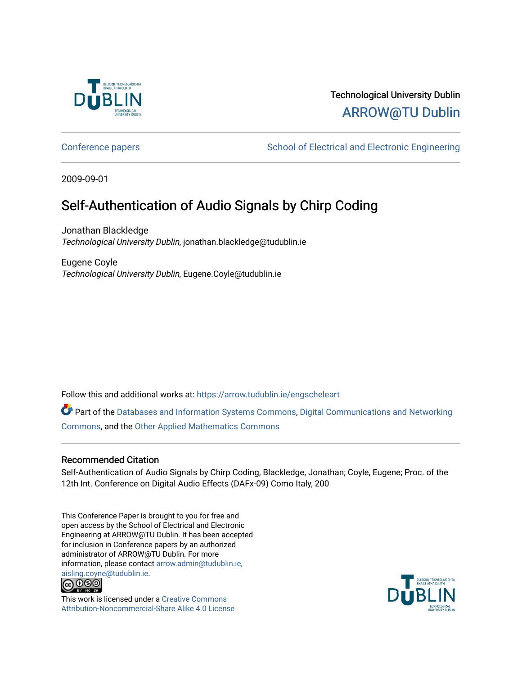

# Technological University Dublin [ARROW@TU Dublin](https://arrow.tudublin.ie/)

[Conference papers](https://arrow.tudublin.ie/engscheleart) [School of Electrical and Electronic Engineering](https://arrow.tudublin.ie/engschele) 

2009-09-01

# Self-Authentication of Audio Signals by Chirp Coding

Jonathan Blackledge Technological University Dublin, jonathan.blackledge@tudublin.ie

Eugene Coyle Technological University Dublin, Eugene.Coyle@tudublin.ie

Follow this and additional works at: [https://arrow.tudublin.ie/engscheleart](https://arrow.tudublin.ie/engscheleart?utm_source=arrow.tudublin.ie%2Fengscheleart%2F157&utm_medium=PDF&utm_campaign=PDFCoverPages) 

Part of the [Databases and Information Systems Commons](http://network.bepress.com/hgg/discipline/145?utm_source=arrow.tudublin.ie%2Fengscheleart%2F157&utm_medium=PDF&utm_campaign=PDFCoverPages), [Digital Communications and Networking](http://network.bepress.com/hgg/discipline/262?utm_source=arrow.tudublin.ie%2Fengscheleart%2F157&utm_medium=PDF&utm_campaign=PDFCoverPages)  [Commons](http://network.bepress.com/hgg/discipline/262?utm_source=arrow.tudublin.ie%2Fengscheleart%2F157&utm_medium=PDF&utm_campaign=PDFCoverPages), and the [Other Applied Mathematics Commons](http://network.bepress.com/hgg/discipline/122?utm_source=arrow.tudublin.ie%2Fengscheleart%2F157&utm_medium=PDF&utm_campaign=PDFCoverPages)

## Recommended Citation

Self-Authentication of Audio Signals by Chirp Coding, Blackledge, Jonathan; Coyle, Eugene; Proc. of the 12th Int. Conference on Digital Audio Effects (DAFx-09) Como Italy, 200

This Conference Paper is brought to you for free and open access by the School of Electrical and Electronic Engineering at ARROW@TU Dublin. It has been accepted for inclusion in Conference papers by an authorized administrator of ARROW@TU Dublin. For more information, please contact [arrow.admin@tudublin.ie,](mailto:arrow.admin@tudublin.ie,%20aisling.coyne@tudublin.ie)  [aisling.coyne@tudublin.ie.](mailto:arrow.admin@tudublin.ie,%20aisling.coyne@tudublin.ie)<br>© 090



This work is licensed under a [Creative Commons](http://creativecommons.org/licenses/by-nc-sa/4.0/) [Attribution-Noncommercial-Share Alike 4.0 License](http://creativecommons.org/licenses/by-nc-sa/4.0/)

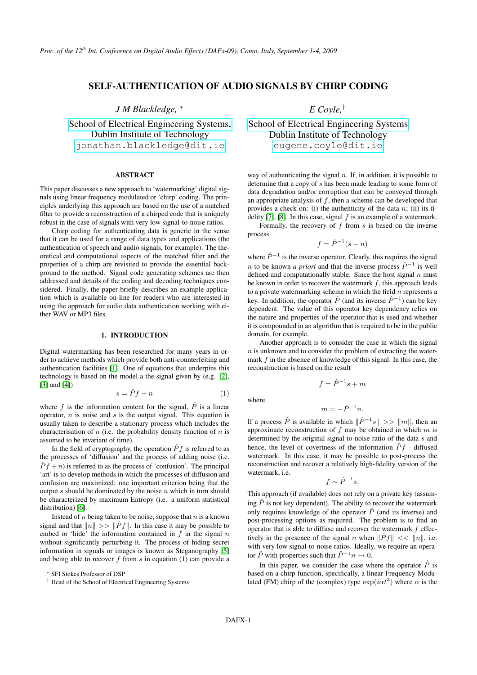## SELF-AUTHENTICATION OF AUDIO SIGNALS BY CHIRP CODING

*J M Blackledge,* <sup>∗</sup>

[School of Electrical Engineering Systems,](http://eleceng.dit.ie/blackledge) Dublin Institute of Technology [jonathan.blackledge@dit.ie](mailto:jonathan.blackledge@dit.ie)

## ABSTRACT

This paper discusses a new approach to 'watermarking' digital signals using linear frequency modulated or 'chirp' coding. The principles underlying this approach are based on the use of a matched filter to provide a reconstruction of a chirped code that is uniquely robust in the case of signals with very low signal-to-noise ratios.

Chirp coding for authenticating data is generic in the sense that it can be used for a range of data types and applications (the authentication of speech and audio signals, for example). The theoretical and computational aspects of the matched filter and the properties of a chirp are revisited to provide the essential background to the method. Signal code generating schemes are then addressed and details of the coding and decoding techniques considered. Finally, the paper briefly describes an example application which is available on-line for readers who are interested in using the approach for audio data authentication working with either WAV or MP3 files.

#### 1. INTRODUCTION

Digital watermarking has been researched for many years in order to achieve methods which provide both anti-counterfeiting and authentication facilities [\[1\]](#page-8-0). One of equations that underpins this technology is based on the model a the signal given by (e.g. [\[2\]](#page-8-1), [\[3\]](#page-8-2) and [\[4\]](#page-8-3))

$$
s = \hat{P}f + n \tag{1}
$$

where f is the information content for the signal,  $\hat{P}$  is a linear operator,  $n$  is noise and  $s$  is the output signal. This equation is usually taken to describe a stationary process which includes the characterisation of  $n$  (i.e. the probability density function of  $n$  is assumed to be invariant of time).

In the field of cryptography, the operation  $\hat{P}f$  is referred to as the processes of 'diffusion' and the process of adding noise (i.e.  $\hat{P}f + n$ ) is referred to as the process of 'confusion'. The principal 'art' is to develop methods in which the processes of diffusion and confusion are maximized; one important criterion being that the output  $s$  should be dominated by the noise  $n$  which in turn should be characterized by maximum Entropy (i.e. a uniform statistical distribution) [\[6\]](#page-8-4).

Instead of  $n$  being taken to be noise, suppose that  $n$  is a known signal and that  $||n|| \gg ||\hat{P}f||$ . In this case it may be possible to embed or 'hide' the information contained in  $f$  in the signal  $n$ without significantly perturbing it. The process of hiding secret information in signals or images is known as Steganography [\[5\]](#page-8-5) and being able to recover  $f$  from  $s$  in equation (1) can provide a *E Coyle,*†

[School of Electrical Engineering Systems](http://eleceng.dit.ie/coyle) Dublin Institute of Technology [eugene.coyle@dit.ie](mailto:eugene.coyle@dit.ie)

way of authenticating the signal  $n$ . If, in addition, it is possible to determine that a copy of s has been made leading to some form of data degradation and/or corruption that can be conveyed through an appropriate analysis of  $f$ , then a scheme can be developed that provides a check on: (i) the authenticity of the data  $n$ ; (ii) its fi-delity [\[7\]](#page-8-6), [\[8\]](#page-8-7). In this case, signal  $f$  is an example of a watermark.

Formally, the recovery of  $f$  from  $s$  is based on the inverse process

$$
f = \hat{P}^{-1}(s - n)
$$

where  $\hat{P}^{-1}$  is the inverse operator. Clearly, this requires the signal *n* to be known *a priori* and that the inverse process  $\hat{P}^{-1}$  is well defined and computationally stable. Since the host signal  $n$  must be known in order to recover the watermark  $f$ , this approach leads to a private watermarking scheme in which the field  $n$  represents a key. In addition, the operator  $\hat{P}$  (and its inverse  $\hat{P}^{-1}$ ) can be key dependent. The value of this operator key dependency relies on the nature and properties of the operator that is used and whether it is compounded in an algorithm that is required to be in the public domain, for example.

Another approach is to consider the case in which the signal  $n$  is unknown and to consider the problem of extracting the watermark  $f$  in the absence of knowledge of this signal. In this case, the reconstruction is based on the result

$$
f = \hat{P}^{-1}s + m
$$

where

$$
m = -\hat{P}^{-1}n.
$$

If a process  $\hat{P}$  is available in which  $\|\hat{P}^{-1}s\| \gg \|m\|$ , then an approximate reconstruction of f may be obtained in which  $m$  is determined by the original signal-to-noise ratio of the data s and hence, the level of covertness of the information  $\hat{P}f$  - diffused watermark. In this case, it may be possible to post-process the reconstruction and recover a relatively high-fidelity version of the watermark, i.e.

$$
f \sim \hat{P}^{-1} s.
$$

This approach (if available) does not rely on a private key (assuming  $\hat{P}$  is not key dependent). The ability to recover the watermark only requires knowledge of the operator  $\hat{P}$  (and its inverse) and post-processing options as required. The problem is to find an operator that is able to diffuse and recover the watermark  $f$  effectively in the presence of the signal n when  $\|\hat{P}f\| \ll \|n\|$ , i.e. with very low signal-to-noise ratios. Ideally, we require an operator  $\hat{P}$  with properties such that  $\hat{P}^{-1}n \to 0$ .

In this paper, we consider the case where the operator  $\hat{P}$  is based on a chirp function, specifically, a linear Frequency Modulated (FM) chirp of the (complex) type  $\exp(i\alpha t^2)$  where  $\alpha$  is the

<sup>∗</sup> SFI Stokes Professor of DSP

<sup>†</sup> Head of the School of Electrical Engineering Systems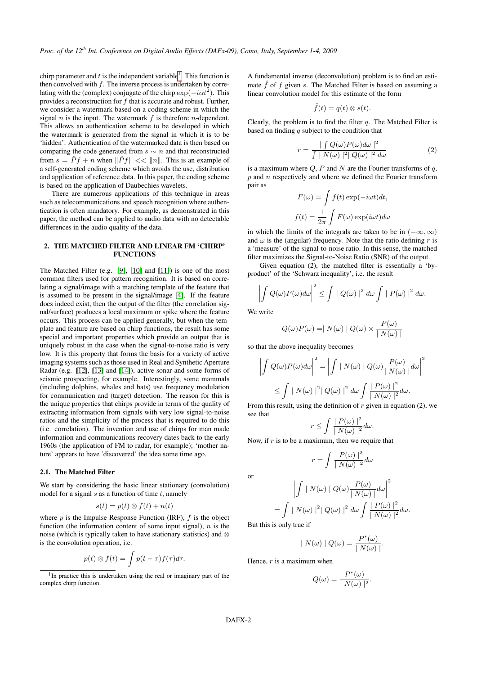chirp parameter and  $t$  is the independent variable<sup>[1](#page-2-0)</sup>. This function is then convolved with  $f$ . The inverse process is undertaken by correlating with the (complex) conjugate of the chirp  $\exp(-i\alpha t^2)$ . This provides a reconstruction for  $f$  that is accurate and robust. Further, we consider a watermark based on a coding scheme in which the signal  $n$  is the input. The watermark  $f$  is therefore  $n$ -dependent. This allows an authentication scheme to be developed in which the watermark is generated from the signal in which it is to be 'hidden'. Authentication of the watermarked data is then based on comparing the code generated from  $s \sim n$  and that reconstructed from  $s = \hat{P}f + n$  when  $\|\hat{P}f\| \ll \|n\|$ . This is an example of a self-generated coding scheme which avoids the use, distribution and application of reference data. In this paper, the coding scheme is based on the application of Daubechies wavelets.

There are numerous applications of this technique in areas such as telecommunications and speech recognition where authentication is often mandatory. For example, as demonstrated in this paper, the method can be applied to audio data with no detectable differences in the audio quality of the data.

#### 2. THE MATCHED FILTER AND LINEAR FM 'CHIRP' **FUNCTIONS**

The Matched Filter (e.g. [\[9\]](#page-8-8), [\[10\]](#page-8-9) and [\[11\]](#page-8-10)) is one of the most common filters used for pattern recognition. It is based on correlating a signal/image with a matching template of the feature that is assumed to be present in the signal/image [\[4\]](#page-8-3). If the feature does indeed exist, then the output of the filter (the correlation signal/surface) produces a local maximum or spike where the feature occurs. This process can be applied generally, but when the template and feature are based on chirp functions, the result has some special and important properties which provide an output that is uniquely robust in the case when the signal-to-noise ratio is very low. It is this property that forms the basis for a variety of active imaging systems such as those used in Real and Synthetic Aperture Radar (e.g. [\[12\]](#page-8-11), [\[13\]](#page-8-12) and [\[14\]](#page-8-13)), active sonar and some forms of seismic prospecting, for example. Interestingly, some mammals (including dolphins, whales and bats) use frequency modulation for communication and (target) detection. The reason for this is the unique properties that chirps provide in terms of the quality of extracting information from signals with very low signal-to-noise ratios and the simplicity of the process that is required to do this (i.e. correlation). The invention and use of chirps for man made information and communications recovery dates back to the early 1960s (the application of FM to radar, for example); 'mother nature' appears to have 'discovered' the idea some time ago.

#### 2.1. The Matched Filter

We start by considering the basic linear stationary (convolution) model for a signal  $s$  as a function of time  $t$ , namely

$$
s(t) = p(t) \otimes f(t) + n(t)
$$

where  $p$  is the Impulse Response Function (IRF),  $f$  is the object function (the information content of some input signal),  $n$  is the noise (which is typically taken to have stationary statistics) and ⊗ is the convolution operation, i.e.

$$
p(t) \otimes f(t) = \int p(t-\tau) f(\tau) d\tau.
$$

<span id="page-2-0"></span><sup>1</sup>In practice this is undertaken using the real or imaginary part of the complex chirp function.

A fundamental inverse (deconvolution) problem is to find an estimate  $\hat{f}$  of f given s. The Matched Filter is based on assuming a linear convolution model for this estimate of the form

$$
\hat{f}(t) = q(t) \otimes s(t).
$$

Clearly, the problem is to find the filter  $q$ . The Matched Filter is based on finding  $q$  subject to the condition that

$$
r = \frac{\int \int Q(\omega) P(\omega) d\omega \mid^2}{\int \left| N(\omega) \right|^2 \left| Q(\omega) \right|^2 d\omega} \tag{2}
$$

is a maximum where  $Q$ ,  $P$  and  $N$  are the Fourier transforms of  $q$ ,  $p$  and  $n$  respectively and where we defined the Fourier transform pair as

$$
F(\omega) = \int f(t) \exp(-i\omega t) dt,
$$
  

$$
f(t) = \frac{1}{2\pi} \int F(\omega) \exp(i\omega t) d\omega
$$

in which the limits of the integrals are taken to be in  $(-\infty, \infty)$ and  $\omega$  is the (angular) frequency. Note that the ratio defining r is a 'measure' of the signal-to-noise ratio. In this sense, the matched filter maximizes the Signal-to-Noise Ratio (SNR) of the output.

Given equation (2), the matched filter is essentially a 'byproduct' of the 'Schwarz inequality', i.e. the result

$$
\left| \int Q(\omega) P(\omega) d\omega \right|^2 \leq \int |Q(\omega)|^2 d\omega \int |P(\omega)|^2 d\omega.
$$

We write

$$
Q(\omega)P(\omega) = | N(\omega) | Q(\omega) \times \frac{P(\omega)}{| N(\omega) |}
$$

so that the above inequality becomes

$$
\left| \int Q(\omega) P(\omega) d\omega \right|^2 = \left| \int |N(\omega)| Q(\omega) \frac{P(\omega)}{|N(\omega)|} d\omega \right|^2
$$
  

$$
\leq \int |N(\omega)|^2 |Q(\omega)|^2 d\omega \int \frac{|P(\omega)|^2}{|N(\omega)|^2} d\omega.
$$

From this result, using the definition of  $r$  given in equation (2), we see that

$$
r \leq \int \frac{|P(\omega)|^2}{|N(\omega)|^2} d\omega.
$$

Now, if  $r$  is to be a maximum, then we require that

$$
r = \int \frac{|P(\omega)|^2}{|N(\omega)|^2} d\omega
$$

or

$$
\left| \int \mid N(\omega) \mid Q(\omega) \frac{P(\omega)}{\mid N(\omega) \mid} d\omega \right|^2
$$
  
= 
$$
\int \mid N(\omega) \mid^2 \mid Q(\omega) \mid^2 d\omega \int \frac{\mid P(\omega) \mid^2}{\mid N(\omega) \mid^2} d\omega.
$$

But this is only true if

$$
|N(\omega)| Q(\omega) = \frac{P^*(\omega)}{|N(\omega)|}.
$$

Hence,  $r$  is a maximum when

$$
Q(\omega) = \frac{P^*(\omega)}{\mid N(\omega) \mid^2}
$$

.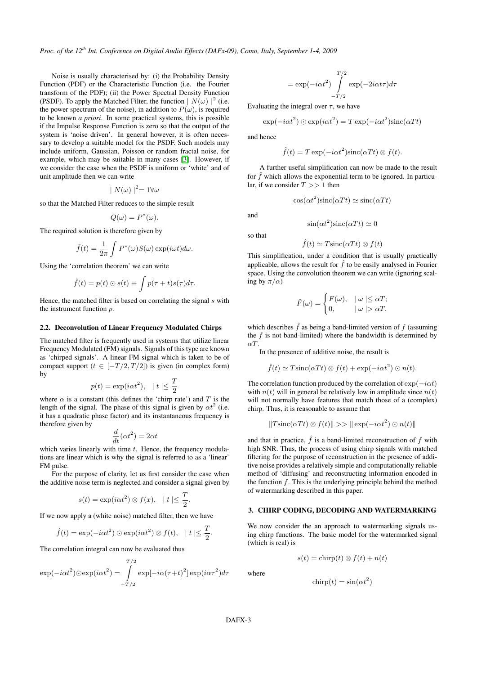*Proc. of the 12th Int. Conference on Digital Audio Effects (DAFx-09), Como, Italy, September 1-4, 2009*

Noise is usually characterised by: (i) the Probability Density Function (PDF) or the Characteristic Function (i.e. the Fourier transform of the PDF); (ii) the Power Spectral Density Function (PSDF). To apply the Matched Filter, the function  $|N(\omega)|^2$  (i.e. the power spectrum of the noise), in addition to  $P(\omega)$ , is required to be known *a priori*. In some practical systems, this is possible if the Impulse Response Function is zero so that the output of the system is 'noise driven'. In general however, it is often necessary to develop a suitable model for the PSDF. Such models may include uniform, Gaussian, Poisson or random fractal noise, for example, which may be suitable in many cases [\[3\]](#page-8-2). However, if we consider the case when the PSDF is uniform or 'white' and of unit amplitude then we can write

$$
|N(\omega)|^2 = 1 \forall \omega
$$

so that the Matched Filter reduces to the simple result

$$
Q(\omega) = P^*(\omega).
$$

The required solution is therefore given by

$$
\hat{f}(t) = \frac{1}{2\pi} \int P^*(\omega) S(\omega) \exp(i\omega t) d\omega.
$$

Using the 'correlation theorem' we can write

$$
\hat{f}(t) = p(t) \odot s(t) \equiv \int p(\tau + t)s(\tau)d\tau.
$$

Hence, the matched filter is based on correlating the signal  $s$  with the instrument function  $p$ .

#### 2.2. Deconvolution of Linear Frequency Modulated Chirps

The matched filter is frequently used in systems that utilize linear Frequency Modulated (FM) signals. Signals of this type are known as 'chirped signals'. A linear FM signal which is taken to be of compact support ( $t \in [-T/2, T/2]$ ) is given (in complex form) by

$$
p(t) = \exp(i\alpha t^2), \quad |t| \le \frac{T}{2}
$$

where  $\alpha$  is a constant (this defines the 'chirp rate') and T is the length of the signal. The phase of this signal is given by  $\alpha t^2$  (i.e. it has a quadratic phase factor) and its instantaneous frequency is therefore given by

$$
\frac{d}{dt}(\alpha t^2) = 2\alpha t
$$

which varies linearly with time  $t$ . Hence, the frequency modulations are linear which is why the signal is referred to as a 'linear' FM pulse.

For the purpose of clarity, let us first consider the case when the additive noise term is neglected and consider a signal given by

$$
s(t) = \exp(i\alpha t^2) \otimes f(x), \quad |t| \leq \frac{T}{2}.
$$

If we now apply a (white noise) matched filter, then we have

$$
\hat{f}(t) = \exp(-i\alpha t^2) \odot \exp(i\alpha t^2) \otimes f(t), \quad |t| \leq \frac{T}{2}.
$$

The correlation integral can now be evaluated thus

$$
\exp(-i\alpha t^2)\cos(p(i\alpha t^2)) = \int_{-T/2}^{T/2} \exp[-i\alpha(\tau+t)^2]\exp(i\alpha \tau^2)d\tau
$$

$$
= \exp(-i\alpha t^2) \int_{-T/2}^{T/2} \exp(-2i\alpha t \tau) d\tau
$$

Evaluating the integral over  $\tau$ , we have

$$
\exp(-i\alpha t^2) \odot \exp(i\alpha t^2) = T \exp(-i\alpha t^2) \text{sinc}(\alpha Tt)
$$

and hence

$$
\hat{f}(t) = T \exp(-i\alpha t^2) \operatorname{sinc}(\alpha T t) \otimes f(t).
$$

A further useful simplification can now be made to the result for  $f$  which allows the exponential term to be ignored. In particular, if we consider  $T >> 1$  then

$$
\cos(\alpha t^2)\operatorname{sinc}(\alpha Tt) \simeq \operatorname{sinc}(\alpha Tt)
$$

and

so that

$$
f_{\rm{max}}
$$

$$
\hat{f}(t) \simeq T \operatorname{sinc}(\alpha T t) \otimes f(t)
$$

 $\sin(\alpha t^2)\text{sinc}(\alpha Tt) \simeq 0$ 

This simplification, under a condition that is usually practically applicable, allows the result for  $\hat{f}$  to be easily analysed in Fourier space. Using the convolution theorem we can write (ignoring scaling by  $\pi/\alpha$ )

$$
\hat{F}(\omega) = \begin{cases} F(\omega), & | \omega | \le \alpha T; \\ 0, & | \omega | > \alpha T. \end{cases}
$$

which describes  $\hat{f}$  as being a band-limited version of f (assuming the  $f$  is not band-limited) where the bandwidth is determined by αT.

In the presence of additive noise, the result is

$$
\hat{f}(t) \simeq T \operatorname{sinc}(\alpha T t) \otimes f(t) + \exp(-i\alpha t^2) \odot n(t).
$$

The correlation function produced by the correlation of  $\exp(-i\alpha t)$ with  $n(t)$  will in general be relatively low in amplitude since  $n(t)$ will not normally have features that match those of a (complex) chirp. Thus, it is reasonable to assume that

$$
||T\operatorname{sinc}(\alpha Tt) \otimes f(t)|| \gg ||\operatorname{exp}(-i\alpha t^2) \odot n(t)||
$$

and that in practice,  $\hat{f}$  is a band-limited reconstruction of f with high SNR. Thus, the process of using chirp signals with matched filtering for the purpose of reconstruction in the presence of additive noise provides a relatively simple and computationally reliable method of 'diffusing' and reconstructing information encoded in the function  $f$ . This is the underlying principle behind the method of watermarking described in this paper.

#### 3. CHIRP CODING, DECODING AND WATERMARKING

We now consider the an approach to watermarking signals using chirp functions. The basic model for the watermarked signal (which is real) is

$$
s(t) = \text{chirp}(t) \otimes f(t) + n(t)
$$

where

$$
chirp(t) = \sin(\alpha t^2)
$$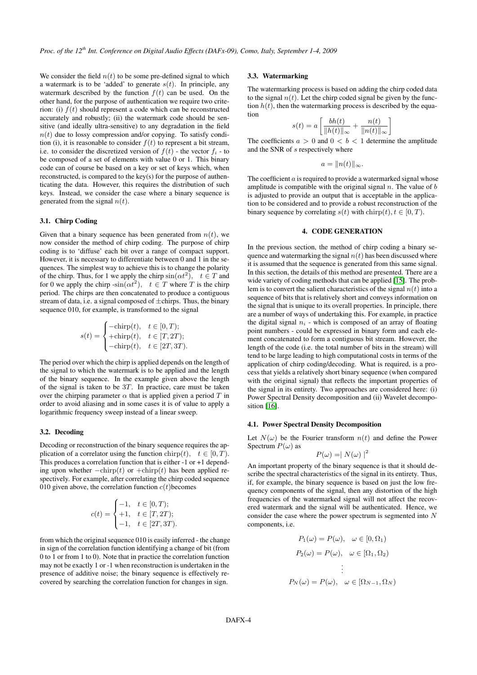We consider the field  $n(t)$  to be some pre-defined signal to which a watermark is to be 'added' to generate  $s(t)$ . In principle, any watermark described by the function  $f(t)$  can be used. On the other hand, for the purpose of authentication we require two criterion: (i)  $f(t)$  should represent a code which can be reconstructed accurately and robustly; (ii) the watermark code should be sensitive (and ideally ultra-sensitive) to any degradation in the field  $n(t)$  due to lossy compression and/or copying. To satisfy condition (i), it is reasonable to consider  $f(t)$  to represent a bit stream, i.e. to consider the discretized version of  $f(t)$  - the vector  $f_i$  - to be composed of a set of elements with value 0 or 1. This binary code can of course be based on a key or set of keys which, when reconstructed, is compared to the key(s) for the purpose of authenticating the data. However, this requires the distribution of such keys. Instead, we consider the case where a binary sequence is generated from the signal  $n(t)$ .

#### 3.1. Chirp Coding

Given that a binary sequence has been generated from  $n(t)$ , we now consider the method of chirp coding. The purpose of chirp coding is to 'diffuse' each bit over a range of compact support. However, it is necessary to differentiate between 0 and 1 in the sequences. The simplest way to achieve this is to change the polarity of the chirp. Thus, for 1 we apply the chirp  $sin(\alpha t^2)$ ,  $t \in T$  and for 0 we apply the chirp  $\text{-}\sin(\alpha t^2)$ ,  $t \in T$  where T is the chirp period. The chirps are then concatenated to produce a contiguous stream of data, i.e. a signal composed of  $\pm$ chirps. Thus, the binary sequence 010, for example, is transformed to the signal

$$
s(t) = \begin{cases} -\text{chirp}(t), & t \in [0, T); \\ +\text{chirp}(t), & t \in [T, 2T); \\ -\text{chirp}(t), & t \in [2T, 3T). \end{cases}
$$

The period over which the chirp is applied depends on the length of the signal to which the watermark is to be applied and the length of the binary sequence. In the example given above the length of the signal is taken to be  $3T$ . In practice, care must be taken over the chirping parameter  $\alpha$  that is applied given a period T in order to avoid aliasing and in some cases it is of value to apply a logarithmic frequency sweep instead of a linear sweep.

#### 3.2. Decoding

Decoding or reconstruction of the binary sequence requires the application of a correlator using the function chirp(t),  $t \in [0, T)$ . This produces a correlation function that is either  $-1$  or  $+1$  depending upon whether  $-\text{chirp}(t)$  or  $+\text{chirp}(t)$  has been applied respectively. For example, after correlating the chirp coded sequence 010 given above, the correlation function  $c(t)$  becomes

$$
c(t) = \begin{cases} -1, & t \in [0, T); \\ +1, & t \in [T, 2T); \\ -1, & t \in [2T, 3T). \end{cases}
$$

from which the original sequence 010 is easily inferred - the change in sign of the correlation function identifying a change of bit (from 0 to 1 or from 1 to 0). Note that in practice the correlation function may not be exactly 1 or -1 when reconstruction is undertaken in the presence of additive noise; the binary sequence is effectively recovered by searching the correlation function for changes in sign.

## 3.3. Watermarking

The watermarking process is based on adding the chirp coded data to the signal  $n(t)$ . Let the chirp coded signal be given by the function  $h(t)$ , then the watermarking process is described by the equation

$$
s(t) = a \left[ \frac{bh(t)}{\|h(t)\|_{\infty}} + \frac{n(t)}{\|n(t)\|_{\infty}} \right]
$$

The coefficients  $a > 0$  and  $0 < b < 1$  determine the amplitude and the SNR of s respectively where

$$
a=\|n(t)\|_{\infty}.
$$

The coefficient  $a$  is required to provide a watermarked signal whose amplitude is compatible with the original signal  $n$ . The value of  $b$ is adjusted to provide an output that is acceptable in the application to be considered and to provide a robust reconstruction of the binary sequence by correlating  $s(t)$  with  $\text{chirp}(t), t \in [0, T)$ .

## 4. CODE GENERATION

In the previous section, the method of chirp coding a binary sequence and watermarking the signal  $n(t)$  has been discussed where it is assumed that the sequence is generated from this same signal. In this section, the details of this method are presented. There are a wide variety of coding methods that can be applied [\[15\]](#page-8-14). The problem is to convert the salient characteristics of the signal  $n(t)$  into a sequence of bits that is relatively short and conveys information on the signal that is unique to its overall properties. In principle, there are a number of ways of undertaking this. For example, in practice the digital signal  $n_i$  - which is composed of an array of floating point numbers - could be expressed in binary form and each element concatenated to form a contiguous bit stream. However, the length of the code (i.e. the total number of bits in the stream) will tend to be large leading to high computational costs in terms of the application of chirp coding/decoding. What is required, is a process that yields a relatively short binary sequence (when compared with the original signal) that reflects the important properties of the signal in its entirety. Two approaches are considered here: (i) Power Spectral Density decomposition and (ii) Wavelet decompo-sition [\[16\]](#page-8-15).

## 4.1. Power Spectral Density Decomposition

Let  $N(\omega)$  be the Fourier transform  $n(t)$  and define the Power Spectrum  $P(\omega)$  as

$$
P(\omega) = |N(\omega)|^2
$$

An important property of the binary sequence is that it should describe the spectral characteristics of the signal in its entirety. Thus, if, for example, the binary sequence is based on just the low frequency components of the signal, then any distortion of the high frequencies of the watermarked signal will not affect the recovered watermark and the signal will be authenticated. Hence, we consider the case where the power spectrum is segmented into N components, i.e.

$$
P_1(\omega) = P(\omega), \quad \omega \in [0, \Omega_1)
$$

$$
P_2(\omega) = P(\omega), \quad \omega \in [\Omega_1, \Omega_2)
$$

$$
\vdots
$$

$$
P_N(\omega) = P(\omega), \quad \omega \in [\Omega_{N-1}, \Omega_N)
$$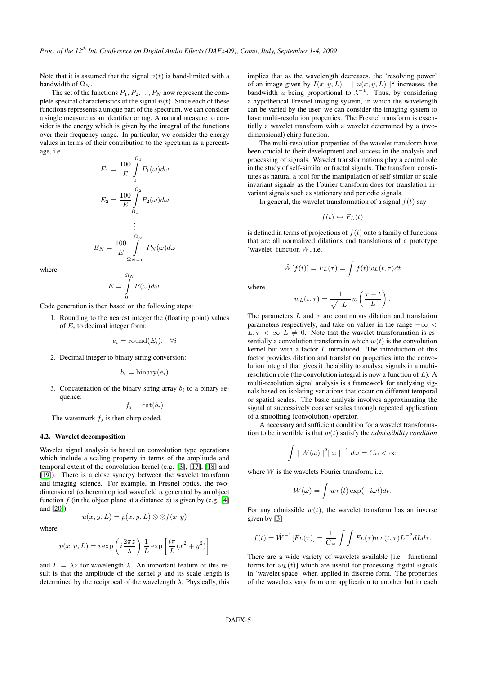Note that it is assumed that the signal  $n(t)$  is band-limited with a bandwidth of  $\Omega_N$ .

The set of the functions  $P_1, P_2, ..., P_N$  now represent the complete spectral characteristics of the signal  $n(t)$ . Since each of these functions represents a unique part of the spectrum, we can consider a single measure as an identifier or tag. A natural measure to consider is the energy which is given by the integral of the functions over their frequency range. In particular, we consider the energy values in terms of their contribution to the spectrum as a percentage, i.e.

$$
E_1 = \frac{100}{E} \int_0^{\Omega_1} P_1(\omega) d\omega
$$

$$
E_2 = \frac{100}{E} \int_{\Omega_1}^{\Omega_2} P_2(\omega) d\omega
$$

$$
\vdots
$$

$$
E_N = \frac{100}{E} \int_{\Omega_{N-1}}^{\Omega_N} P_N(\omega) d\omega
$$

where

$$
E=\int\limits_{0}^{\Omega_N}P(\omega)d\omega.
$$

Code generation is then based on the following steps:

1. Rounding to the nearest integer the (floating point) values of  $E_i$  to decimal integer form:

 $e_i = \text{round}(E_i), \quad \forall i$ 

2. Decimal integer to binary string conversion:

$$
b_i = \text{binary}(e_i)
$$

3. Concatenation of the binary string array  $b_i$  to a binary sequence:

 $f_i = \text{cat}(b_i)$ 

The watermark  $f_i$  is then chirp coded.

#### 4.2. Wavelet decomposition

Wavelet signal analysis is based on convolution type operations which include a scaling property in terms of the amplitude and temporal extent of the convolution kernel (e.g. [\[3\]](#page-8-2), [\[17\]](#page-8-16), [\[18\]](#page-8-17) and [\[19\]](#page-8-18)). There is a close synergy between the wavelet transform and imaging science. For example, in Fresnel optics, the twodimensional (coherent) optical wavefield  $u$  generated by an object function f (in the object plane at a distance z) is given by (e.g. [\[4\]](#page-8-3) and [\[20\]](#page-8-19))

where

$$
u(x, y, L) = p(x, y, L) \otimes \otimes f(x, y)
$$

$$
p(x, y, L) = i \exp\left(i\frac{2\pi z}{\lambda}\right) \frac{1}{L} \exp\left[\frac{i\pi}{L}(x^2 + y^2)\right]
$$

and  $L = \lambda z$  for wavelength  $\lambda$ . An important feature of this result is that the amplitude of the kernel  $p$  and its scale length is determined by the reciprocal of the wavelength  $\lambda$ . Physically, this implies that as the wavelength decreases, the 'resolving power' of an image given by  $I(x, y, L) = |u(x, y, L)|^2$  increases, the bandwidth u being proportional to  $\lambda^{-1}$ . Thus, by considering a hypothetical Fresnel imaging system, in which the wavelength can be varied by the user, we can consider the imaging system to have multi-resolution properties. The Fresnel transform is essentially a wavelet transform with a wavelet determined by a (twodimensional) chirp function.

The multi-resolution properties of the wavelet transform have been crucial to their development and success in the analysis and processing of signals. Wavelet transformations play a central role in the study of self-similar or fractal signals. The transform constitutes as natural a tool for the manipulation of self-similar or scale invariant signals as the Fourier transform does for translation invariant signals such as stationary and periodic signals.

In general, the wavelet transformation of a signal  $f(t)$  say

$$
f(t) \leftrightarrow F_L(t)
$$

is defined in terms of projections of  $f(t)$  onto a family of functions that are all normalized dilations and translations of a prototype 'wavelet' function  $W$ , i.e.

$$
\hat{W}[f(t)] = F_L(\tau) = \int f(t)w_L(t, \tau)dt
$$

where

$$
w_L(t,\tau) = \frac{1}{\sqrt{|\,L\,|}} w\left(\frac{\tau - t}{L}\right).
$$

The parameters  $L$  and  $\tau$  are continuous dilation and translation parameters respectively, and take on values in the range  $-\infty$  <  $L, \tau < \infty, L \neq 0$ . Note that the wavelet transformation is essentially a convolution transform in which  $w(t)$  is the convolution kernel but with a factor  $L$  introduced. The introduction of this factor provides dilation and translation properties into the convolution integral that gives it the ability to analyse signals in a multiresolution role (the convolution integral is now a function of  $L$ ). A multi-resolution signal analysis is a framework for analysing signals based on isolating variations that occur on different temporal or spatial scales. The basic analysis involves approximating the signal at successively coarser scales through repeated application of a smoothing (convolution) operator.

A necessary and sufficient condition for a wavelet transformation to be invertible is that  $w(t)$  satisfy the *admissibility condition* 

$$
\int |W(\omega)|^2 |\omega|^{-1} d\omega = C_w < \infty
$$

where  $W$  is the wavelets Fourier transform, i.e.

$$
W(\omega) = \int w_L(t) \exp(-i\omega t) dt.
$$

For any admissible  $w(t)$ , the wavelet transform has an inverse given by [\[3\]](#page-8-2)

$$
f(t) = \hat{W}^{-1}[F_L(\tau)] = \frac{1}{C_w} \int \int F_L(\tau) w_L(t, \tau) L^{-2} dL d\tau.
$$

There are a wide variety of wavelets available [i.e. functional forms for  $w<sub>L</sub>(t)$ ] which are useful for processing digital signals in 'wavelet space' when applied in discrete form. The properties of the wavelets vary from one application to another but in each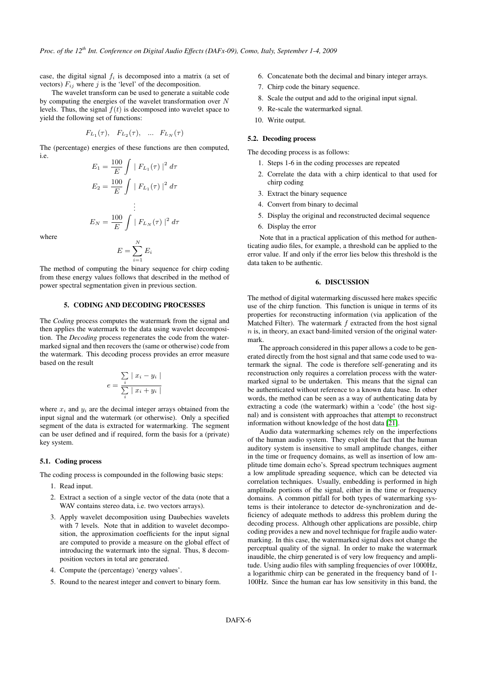case, the digital signal  $f_i$  is decomposed into a matrix (a set of vectors)  $F_{ij}$  where j is the 'level' of the decomposition.

The wavelet transform can be used to generate a suitable code by computing the energies of the wavelet transformation over  $N$ levels. Thus, the signal  $f(t)$  is decomposed into wavelet space to yield the following set of functions:

$$
F_{L_1}(\tau), F_{L_2}(\tau), \dots F_{L_N}(\tau)
$$

The (percentage) energies of these functions are then computed, i.e.

$$
E_1 = \frac{100}{E} \int |F_{L_1}(\tau)|^2 d\tau
$$
  
\n
$$
E_2 = \frac{100}{E} \int |F_{L_1}(\tau)|^2 d\tau
$$
  
\n
$$
\vdots
$$
  
\n
$$
E_N = \frac{100}{E} \int |F_{L_N}(\tau)|^2 d\tau
$$
  
\n
$$
N
$$

where

$$
E = \sum_{i=1}^{N} E_i
$$

The method of computing the binary sequence for chirp coding from these energy values follows that described in the method of power spectral segmentation given in previous section.

### 5. CODING AND DECODING PROCESSES

The *Coding* process computes the watermark from the signal and then applies the watermark to the data using wavelet decomposition. The *Decoding* process regenerates the code from the watermarked signal and then recovers the (same or otherwise) code from the watermark. This decoding process provides an error measure based on the result

$$
e = \frac{\sum_{i} |x_i - y_i|}{\sum_{i} |x_i + y_i|}
$$

where  $x_i$  and  $y_i$  are the decimal integer arrays obtained from the input signal and the watermark (or otherwise). Only a specified segment of the data is extracted for watermarking. The segment can be user defined and if required, form the basis for a (private) key system.

## 5.1. Coding process

The coding process is compounded in the following basic steps:

- 1. Read input.
- 2. Extract a section of a single vector of the data (note that a WAV contains stereo data, *i.e.* two vectors arrays).
- 3. Apply wavelet decomposition using Daubechies wavelets with 7 levels. Note that in addition to wavelet decomposition, the approximation coefficients for the input signal are computed to provide a measure on the global effect of introducing the watermark into the signal. Thus, 8 decomposition vectors in total are generated.
- 4. Compute the (percentage) 'energy values'.
- 5. Round to the nearest integer and convert to binary form.
- 6. Concatenate both the decimal and binary integer arrays.
- 7. Chirp code the binary sequence.
- 8. Scale the output and add to the original input signal.
- 9. Re-scale the watermarked signal.
- 10. Write output.

#### 5.2. Decoding process

The decoding process is as follows:

- 1. Steps 1-6 in the coding processes are repeated
- 2. Correlate the data with a chirp identical to that used for chirp coding
- 3. Extract the binary sequence
- 4. Convert from binary to decimal
- 5. Display the original and reconstructed decimal sequence
- 6. Display the error

Note that in a practical application of this method for authenticating audio files, for example, a threshold can be applied to the error value. If and only if the error lies below this threshold is the data taken to be authentic.

## 6. DISCUSSION

The method of digital watermarking discussed here makes specific use of the chirp function. This function is unique in terms of its properties for reconstructing information (via application of the Matched Filter). The watermark  $f$  extracted from the host signal  $n$  is, in theory, an exact band-limited version of the original watermark.

The approach considered in this paper allows a code to be generated directly from the host signal and that same code used to watermark the signal. The code is therefore self-generating and its reconstruction only requires a correlation process with the watermarked signal to be undertaken. This means that the signal can be authenticated without reference to a known data base. In other words, the method can be seen as a way of authenticating data by extracting a code (the watermark) within a 'code' (the host signal) and is consistent with approaches that attempt to reconstruct information without knowledge of the host data [\[21\]](#page-8-20).

Audio data watermarking schemes rely on the imperfections of the human audio system. They exploit the fact that the human auditory system is insensitive to small amplitude changes, either in the time or frequency domains, as well as insertion of low amplitude time domain echo's. Spread spectrum techniques augment a low amplitude spreading sequence, which can be detected via correlation techniques. Usually, embedding is performed in high amplitude portions of the signal, either in the time or frequency domains. A common pitfall for both types of watermarking systems is their intolerance to detector de-synchronization and deficiency of adequate methods to address this problem during the decoding process. Although other applications are possible, chirp coding provides a new and novel technique for fragile audio watermarking. In this case, the watermarked signal does not change the perceptual quality of the signal. In order to make the watermark inaudible, the chirp generated is of very low frequency and amplitude. Using audio files with sampling frequencies of over 1000Hz, a logarithmic chirp can be generated in the frequency band of 1- 100Hz. Since the human ear has low sensitivity in this band, the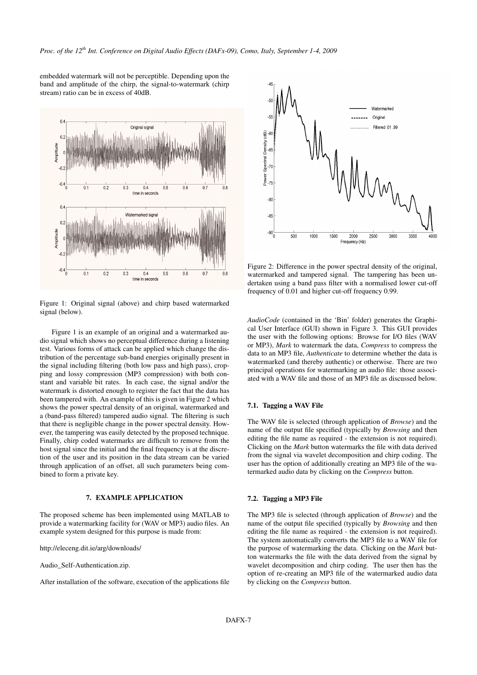embedded watermark will not be perceptible. Depending upon the band and amplitude of the chirp, the signal-to-watermark (chirp stream) ratio can be in excess of 40dB.



Figure 1: Original signal (above) and chirp based watermarked signal (below).

Figure 1 is an example of an original and a watermarked audio signal which shows no perceptual difference during a listening test. Various forms of attack can be applied which change the distribution of the percentage sub-band energies originally present in the signal including filtering (both low pass and high pass), cropping and lossy compression (MP3 compression) with both constant and variable bit rates. In each case, the signal and/or the watermark is distorted enough to register the fact that the data has been tampered with. An example of this is given in Figure 2 which shows the power spectral density of an original, watermarked and a (band-pass filtered) tampered audio signal. The filtering is such that there is negligible change in the power spectral density. However, the tampering was easily detected by the proposed technique. Finally, chirp coded watermarks are difficult to remove from the host signal since the initial and the final frequency is at the discretion of the user and its position in the data stream can be varied through application of an offset, all such parameters being combined to form a private key.

#### 7. EXAMPLE APPLICATION

The proposed scheme has been implemented using MATLAB to provide a watermarking facility for (WAV or MP3) audio files. An example system designed for this purpose is made from:

http://eleceng.dit.ie/arg/downloads/

Audio\_Self-Authentication.zip.

After installation of the software, execution of the applications file



Figure 2: Difference in the power spectral density of the original, watermarked and tampered signal. The tampering has been undertaken using a band pass filter with a normalised lower cut-off frequency of 0.01 and higher cut-off frequency 0.99.

*AudioCode* (contained in the 'Bin' folder) generates the Graphical User Interface (GUI) shown in Figure 3. This GUI provides the user with the following options: Browse for I/O files (WAV or MP3), *Mark* to watermark the data, *Compress* to compress the data to an MP3 file, *Authenticate* to determine whether the data is watermarked (and thereby authentic) or otherwise. There are two principal operations for watermarking an audio file: those associated with a WAV file and those of an MP3 file as discussed below.

#### 7.1. Tagging a WAV File

The WAV file is selected (through application of *Browse*) and the name of the output file specified (typically by *Browsing* and then editing the file name as required - the extension is not required). Clicking on the *Mark* button watermarks the file with data derived from the signal via wavelet decomposition and chirp coding. The user has the option of additionally creating an MP3 file of the watermarked audio data by clicking on the *Compress* button.

#### 7.2. Tagging a MP3 File

The MP3 file is selected (through application of *Browse*) and the name of the output file specified (typically by *Browsing* and then editing the file name as required - the extension is not required). The system automatically converts the MP3 file to a WAV file for the purpose of watermarking the data. Clicking on the *Mark* button watermarks the file with the data derived from the signal by wavelet decomposition and chirp coding. The user then has the option of re-creating an MP3 file of the watermarked audio data by clicking on the *Compress* button.